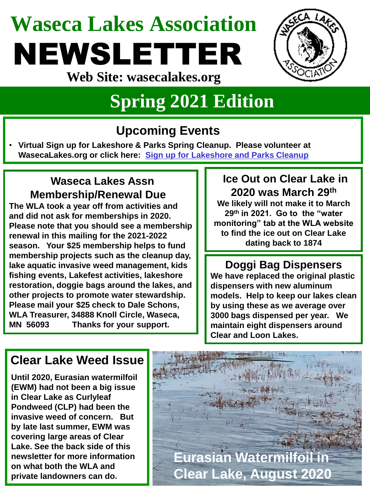# **Waseca Lakes Association** NEWSLETTER



**Web Site: wasecalakes.org**

## **Spring 2021 Edition**

## **Upcoming Events**

• **Virtual Sign up for Lakeshore & Parks Spring Cleanup. Please volunteer at WasecaLakes.org or click here: [Sign up for Lakeshore and Parks Cleanup](https://docs.google.com/forms/d/1ikllBSskOTbFUM2L9p7biGqMIFEr_SdF_gZRgDUVUao/viewform?edit_requested=true)**

### **Waseca Lakes Assn Membership/Renewal Due3**

**The WLA took a year off from activities and and did not ask for memberships in 2020. Please note that you should see a membership renewal in this mailing for the 2021-2022 season. Your \$25 membership helps to fund membership projects such as the cleanup day, lake aquatic invasive weed management, kids fishing events, Lakefest activities, lakeshore restoration, doggie bags around the lakes, and other projects to promote water stewardship. Please mail your \$25 check to Dale Schons, WLA Treasurer, 34888 Knoll Circle, Waseca, MN 56093 Thanks for your support.**

## **Ice Out on Clear Lake in 2020 was March 29th**

**We likely will not make it to March 29th in 2021. Go to the "water monitoring" tab at the WLA website to find the ice out on Clear Lake dating back to 1874**

## **Doggi Bag Dispensers**

**We have replaced the original plastic dispensers with new aluminum models. Help to keep our lakes clean by using these as we average over 3000 bags dispensed per year. We maintain eight dispensers around Clear and Loon Lakes.**

## **Clear Lake Weed Issue**

**Until 2020, Eurasian watermilfoil (EWM) had not been a big issue in Clear Lake as Curlyleaf Pondweed (CLP) had been the invasive weed of concern. But by late last summer, EWM was covering large areas of Clear Lake. See the back side of this newsletter for more information on what both the WLA and private landowners can do.**